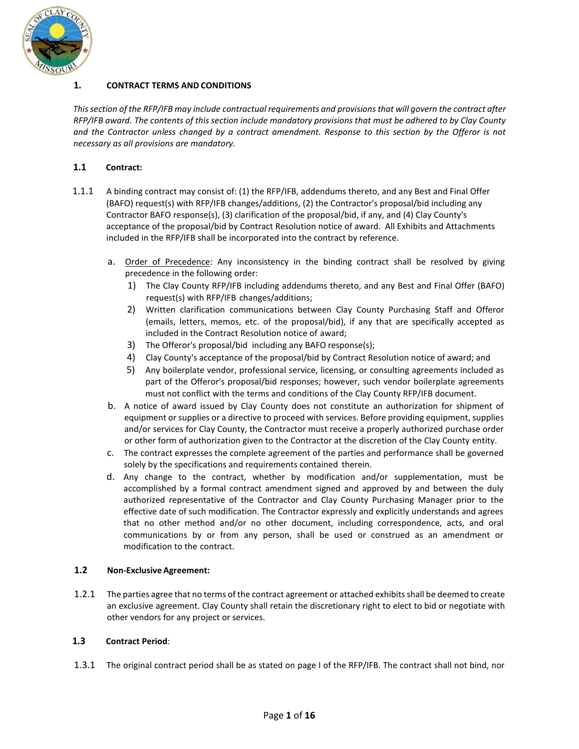

# **1. CONTRACT TERMS AND CONDITIONS**

*Thissection of the RFP/IFB may include contractual requirements and provisions that will govern the contract after RFP/IFB award. The contents of this section include mandatory provisions that must be adhered to by Clay County and the Contractor unless changed by a contract amendment. Response to this section by the Offeror is not necessary as all provisions are mandatory.*

## **1.1 Contract:**

- 1.1.1 A binding contract may consist of: (1) the RFP/IFB, addendums thereto, and any Best and Final Offer (BAFO) request(s) with RFP/IFB changes/additions, (2) the Contractor's proposal/bid including any Contractor BAFO response(s), (3) clarification of the proposal/bid, if any, and (4) Clay County's acceptance of the proposal/bid by Contract Resolution notice of award. All Exhibits and Attachments included in the RFP/IFB shall be incorporated into the contract by reference.
	- a. Order of Precedence: Any inconsistency in the binding contract shall be resolved by giving precedence in the following order:
		- 1) The Clay County RFP/IFB including addendums thereto, and any Best and Final Offer (BAFO) request(s) with RFP/IFB changes/additions;
		- 2) Written clarification communications between Clay County Purchasing Staff and Offeror (emails, letters, memos, etc. of the proposal/bid), if any that are specifically accepted as included in the Contract Resolution notice of award;
		- 3) The Offeror's proposal/bid including any BAFO response(s);
		- 4) Clay County's acceptance of the proposal/bid by Contract Resolution notice of award; and
		- 5) Any boilerplate vendor, professional service, licensing, or consulting agreements included as part of the Offeror's proposal/bid responses; however, such vendor boilerplate agreements must not conflict with the terms and conditions of the Clay County RFP/IFB document.
	- b. A notice of award issued by Clay County does not constitute an authorization for shipment of equipment or supplies or a directive to proceed with services. Before providing equipment, supplies and/or services for Clay County, the Contractor must receive a properly authorized purchase order or other form of authorization given to the Contractor at the discretion of the Clay County entity.
	- c. The contract expresses the complete agreement of the parties and performance shall be governed solely by the specifications and requirements contained therein.
	- d. Any change to the contract, whether by modification and/or supplementation, must be accomplished by a formal contract amendment signed and approved by and between the duly authorized representative of the Contractor and Clay County Purchasing Manager prior to the effective date of such modification. The Contractor expressly and explicitly understands and agrees that no other method and/or no other document, including correspondence, acts, and oral communications by or from any person, shall be used or construed as an amendment or modification to the contract.

## **1.2 Non-Exclusive Agreement:**

1.2.1 The parties agree that no terms of the contract agreement or attached exhibits shall be deemed to create an exclusive agreement. Clay County shall retain the discretionary right to elect to bid or negotiate with other vendors for any project or services.

## **1.3 Contract Period**:

1.3.1 The original contract period shall be as stated on page I of the RFP/IFB. The contract shall not bind, nor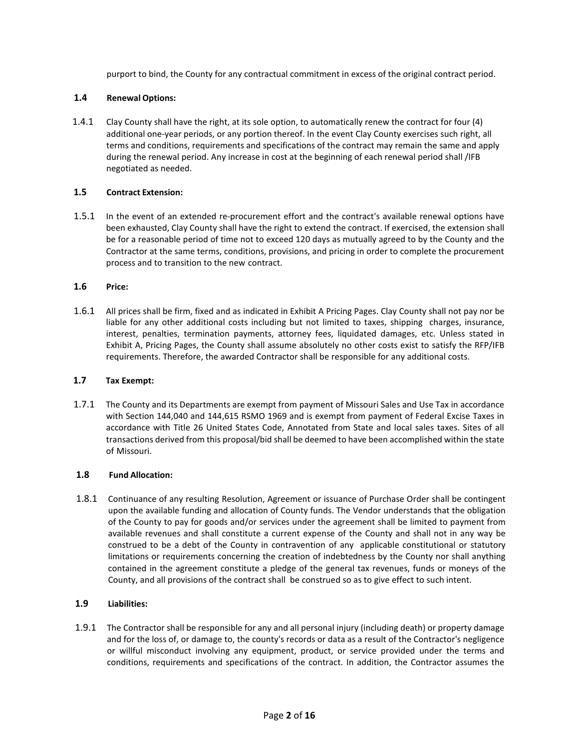purport to bind, the County for any contractual commitment in excess of the original contract period.

### **1.4 Renewal Options:**

1.4.1 Clay County shall have the right, at its sole option, to automatically renew the contract for four (4) additional one-year periods, or any portion thereof. In the event Clay County exercises such right, all terms and conditions, requirements and specifications of the contract may remain the same and apply during the renewal period. Any increase in cost at the beginning of each renewal period shall /IFB negotiated as needed.

### **1.5 Contract Extension:**

1.5.1 In the event of an extended re-procurement effort and the contract's available renewal options have been exhausted, Clay County shall have the right to extend the contract. If exercised, the extension shall be for a reasonable period of time not to exceed 120 days as mutually agreed to by the County and the Contractor at the same terms, conditions, provisions, and pricing in order to complete the procurement process and to transition to the new contract.

# **1.6 Price:**

1.6.1 All prices shall be firm, fixed and as indicated in Exhibit A Pricing Pages. Clay County shall not pay nor be liable for any other additional costs including but not limited to taxes, shipping charges, insurance, interest, penalties, termination payments, attorney fees, liquidated damages, etc. Unless stated in Exhibit A, Pricing Pages, the County shall assume absolutely no other costs exist to satisfy the RFP/IFB requirements. Therefore, the awarded Contractor shall be responsible for any additional costs.

#### **1.7 Tax Exempt:**

1.7.1 The County and its Departments are exempt from payment of Missouri Sales and Use Tax in accordance with Section 144,040 and 144,615 RSMO 1969 and is exempt from payment of Federal Excise Taxes in accordance with Title 26 United States Code, Annotated from State and local sales taxes. Sites of all transactions derived from this proposal/bid shall be deemed to have been accomplished within the state of Missouri.

#### **1.8 Fund Allocation:**

1.8.1 Continuance of any resulting Resolution, Agreement or issuance of Purchase Order shall be contingent upon the available funding and allocation of County funds. The Vendor understands that the obligation of the County to pay for goods and/or services under the agreement shall be limited to payment from available revenues and shall constitute a current expense of the County and shall not in any way be construed to be a debt of the County in contravention of any applicable constitutional or statutory limitations or requirements concerning the creation of indebtedness by the County nor shall anything contained in the agreement constitute a pledge of the general tax revenues, funds or moneys of the County, and all provisions of the contract shall be construed so as to give effect to such intent.

## **1.9 Liabilities:**

1.9.1 The Contractor shall be responsible for any and all personal injury (including death) or property damage and for the loss of, or damage to, the county's records or data as a result of the Contractor's negligence or willful misconduct involving any equipment, product, or service provided under the terms and conditions, requirements and specifications of the contract. In addition, the Contractor assumes the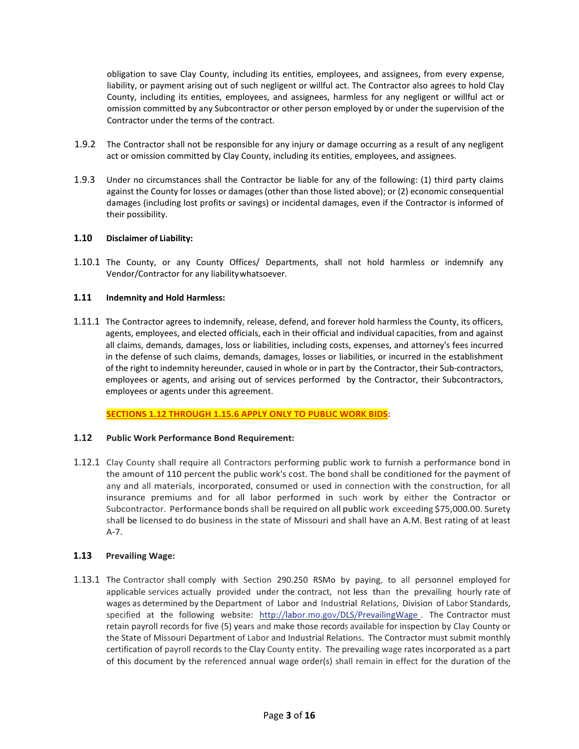obligation to save Clay County, including its entities, employees, and assignees, from every expense, liability, or payment arising out of such negligent or willful act. The Contractor also agrees to hold Clay County, including its entities, employees, and assignees, harmless for any negligent or willful act or omission committed by any Subcontractor or other person employed by or under the supervision of the Contractor under the terms of the contract.

- 1.9.2 The Contractor shall not be responsible for any injury or damage occurring as a result of any negligent act or omission committed by Clay County, including its entities, employees, and assignees.
- 1.9.3 Under no circumstances shall the Contractor be liable for any of the following: (1) third party claims against the County for losses or damages (other than those listed above); or (2) economic consequential damages (including lost profits or savings) or incidental damages, even if the Contractor is informed of their possibility.

#### **1.10 Disclaimer of Liability:**

1.10.1 The County, or any County Offices/ Departments, shall not hold harmless or indemnify any Vendor/Contractor for any liabilitywhatsoever.

#### **1.11 Indemnity and Hold Harmless:**

1.11.1 The Contractor agrees to indemnify, release, defend, and forever hold harmless the County, its officers, agents, employees, and elected officials, each in their official and individual capacities, from and against all claims, demands, damages, loss or liabilities, including costs, expenses, and attorney's fees incurred in the defense of such claims, demands, damages, losses or liabilities, or incurred in the establishment of the right to indemnity hereunder, caused in whole or in part by the Contractor, their Sub-contractors, employees or agents, and arising out of services performed by the Contractor, their Subcontractors, employees or agents under this agreement.

**SECTIONS 1.12 THROUGH 1.15.6 APPLY ONLY TO PUBLIC WORK BIDS:**

#### **1.12 Public Work Performance Bond Requirement:**

1.12.1 Clay County shall require all Contractors performing public work to furnish a performance bond in the amount of 110 percent the public work's cost. The bond shall be conditioned for the payment of any and all materials, incorporated, consumed or used in connection with the construction, for all insurance premiums and for all labor performed in such work by either the Contractor or Subcontractor. Performance bonds shall be required on all public work exceeding \$75,000.00. Surety shall be licensed to do business in the state of Missouri and shall have an A.M. Best rating of at least A-7.

## **1.13 Prevailing Wage:**

1.13.1 The Contractor shall comply with Section 290.250 RSMo by paying, to all personnel employed for applicable services actually provided under the contract, not less than the prevailing hourly rate of wages as determined by the Department of Labor and Industrial Relations, Division of Labor Standards, specified at the following website: [http://labor.mo.gov/DLS/PrevailingWage .](http://labor.mo.gov/DLS/PrevailingWage) The Contractor must retain payroll records for five (5) years and make those records available for inspection by Clay County or the State of Missouri Department of Labor and Industrial Relations. The Contractor must submit monthly certification of payroll records to the Clay County entity. The prevailing wage rates incorporated as a part of this document by the referenced annual wage order(s) shall remain in effect for the duration of the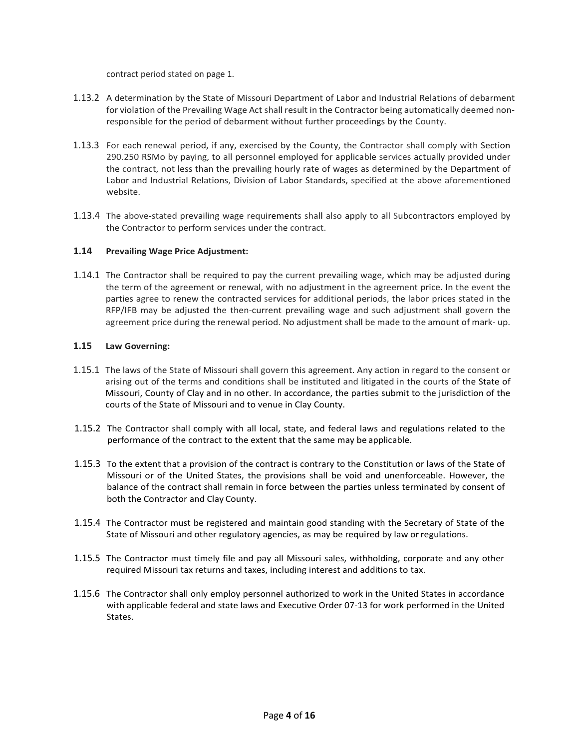contract period stated on page 1.

- 1.13.2 A determination by the State of Missouri Department of Labor and Industrial Relations of debarment for violation of the Prevailing Wage Act shall result in the Contractor being automatically deemed nonresponsible for the period of debarment without further proceedings by the County.
- 1.13.3 For each renewal period, if any, exercised by the County, the Contractor shall comply with Section 290.250 RSMo by paying, to all personnel employed for applicable services actually provided under the contract, not less than the prevailing hourly rate of wages as determined by the Department of Labor and Industrial Relations, Division of Labor Standards, specified at the above aforementioned website.
- 1.13.4 The above-stated prevailing wage requirements shall also apply to all Subcontractors employed by the Contractor to perform services under the contract.

## **1.14 Prevailing Wage Price Adjustment:**

1.14.1 The Contractor shall be required to pay the current prevailing wage, which may be adjusted during the term of the agreement or renewal, with no adjustment in the agreement price. In the event the parties agree to renew the contracted services for additional periods, the labor prices stated in the RFP/IFB may be adjusted the then-current prevailing wage and such adjustment shall govern the agreement price during the renewal period. No adjustment shall be made to the amount of mark- up.

# **1.15 Law Governing:**

- 1.15.1 The laws of the State of Missouri shall govern this agreement. Any action in regard to the consent or arising out of the terms and conditions shall be instituted and litigated in the courts of the State of Missouri, County of Clay and in no other. In accordance, the parties submit to the jurisdiction of the courts of the State of Missouri and to venue in Clay County.
- 1.15.2 The Contractor shall comply with all local, state, and federal laws and regulations related to the performance of the contract to the extent that the same may be applicable.
- 1.15.3 To the extent that a provision of the contract is contrary to the Constitution or laws of the State of Missouri or of the United States, the provisions shall be void and unenforceable. However, the balance of the contract shall remain in force between the parties unless terminated by consent of both the Contractor and Clay County.
- 1.15.4 The Contractor must be registered and maintain good standing with the Secretary of State of the State of Missouri and other regulatory agencies, as may be required by law orregulations.
- 1.15.5 The Contractor must timely file and pay all Missouri sales, withholding, corporate and any other required Missouri tax returns and taxes, including interest and additions to tax.
- 1.15.6 The Contractor shall only employ personnel authorized to work in the United States in accordance with applicable federal and state laws and Executive Order 07-13 for work performed in the United States.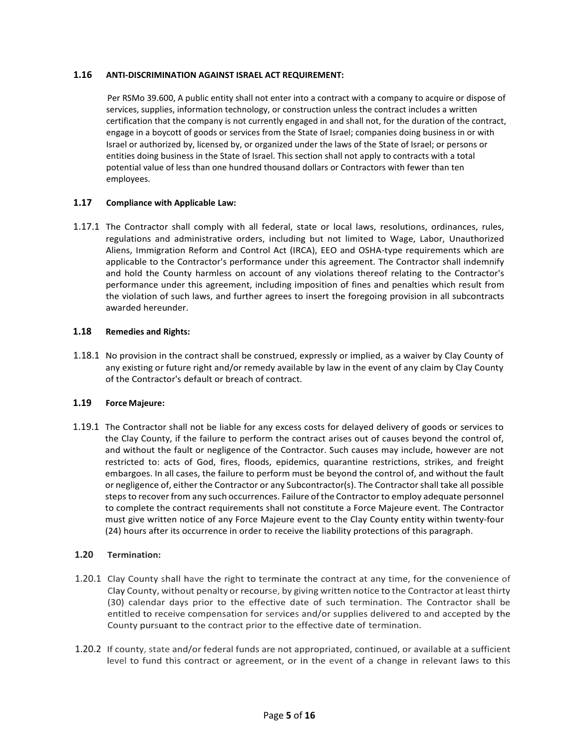## **1.16 ANTI-DISCRIMINATION AGAINST ISRAEL ACT REQUIREMENT:**

Per RSMo 39.600, A public entity shall not enter into a contract with a company to acquire or dispose of services, supplies, information technology, or construction unless the contract includes a written certification that the company is not currently engaged in and shall not, for the duration of the contract, engage in a boycott of goods or services from the State of Israel; companies doing business in or with Israel or authorized by, licensed by, or organized under the laws of the State of Israel; or persons or entities doing business in the State of Israel. This section shall not apply to contracts with a total potential value of less than one hundred thousand dollars or Contractors with fewer than ten employees.

# **1.17 Compliance with Applicable Law:**

1.17.1 The Contractor shall comply with all federal, state or local laws, resolutions, ordinances, rules, regulations and administrative orders, including but not limited to Wage, Labor, Unauthorized Aliens, Immigration Reform and Control Act (IRCA), EEO and OSHA-type requirements which are applicable to the Contractor's performance under this agreement. The Contractor shall indemnify and hold the County harmless on account of any violations thereof relating to the Contractor's performance under this agreement, including imposition of fines and penalties which result from the violation of such laws, and further agrees to insert the foregoing provision in all subcontracts awarded hereunder.

# **1.18 Remedies and Rights:**

1.18.1 No provision in the contract shall be construed, expressly or implied, as a waiver by Clay County of any existing or future right and/or remedy available by law in the event of any claim by Clay County of the Contractor's default or breach of contract.

# **1.19 Force Majeure:**

1.19.1 The Contractor shall not be liable for any excess costs for delayed delivery of goods or services to the Clay County, if the failure to perform the contract arises out of causes beyond the control of, and without the fault or negligence of the Contractor. Such causes may include, however are not restricted to: acts of God, fires, floods, epidemics, quarantine restrictions, strikes, and freight embargoes. In all cases, the failure to perform must be beyond the control of, and without the fault or negligence of, either the Contractor or any Subcontractor(s). The Contractorshall take all possible steps to recover from any such occurrences. Failure of the Contractorto employ adequate personnel to complete the contract requirements shall not constitute a Force Majeure event. The Contractor must give written notice of any Force Majeure event to the Clay County entity within twenty-four (24) hours after its occurrence in order to receive the liability protections of this paragraph.

## **1.20 Termination:**

- 1.20.1 Clay County shall have the right to terminate the contract at any time, for the convenience of Clay County, without penalty or recourse, by giving written notice to the Contractor at least thirty (30) calendar days prior to the effective date of such termination. The Contractor shall be entitled to receive compensation for services and/or supplies delivered to and accepted by the County pursuant to the contract prior to the effective date of termination.
- 1.20.2 If county, state and/or federal funds are not appropriated, continued, or available at a sufficient level to fund this contract or agreement, or in the event of a change in relevant laws to this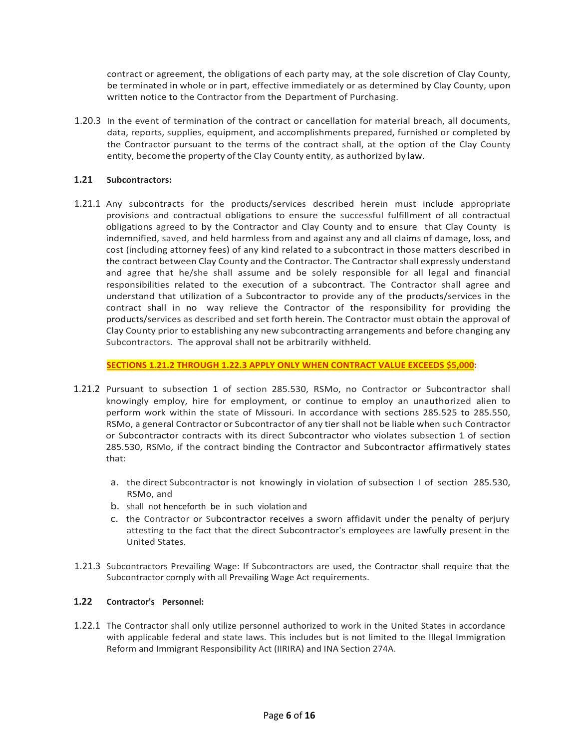contract or agreement, the obligations of each party may, at the sole discretion of Clay County, be terminated in whole or in part, effective immediately or as determined by Clay County, upon written notice to the Contractor from the Department of Purchasing.

1.20.3 In the event of termination of the contract or cancellation for material breach, all documents, data, reports, supplies, equipment, and accomplishments prepared, furnished or completed by the Contractor pursuant to the terms of the contract shall, at the option of the Clay County entity, become the property of the Clay County entity, as authorized by law.

## **1.21 Subcontractors:**

1.21.1 Any subcontracts for the products/services described herein must include appropriate provisions and contractual obligations to ensure the successful fulfillment of all contractual obligations agreed to by the Contractor and Clay County and to ensure that Clay County is indemnified, saved, and held harmless from and against any and all claims of damage, loss, and cost (including attorney fees) of any kind related to a subcontract in those matters described in the contract between Clay County and the Contractor. The Contractorshall expressly understand and agree that he/she shall assume and be solely responsible for all legal and financial responsibilities related to the execution of a subcontract. The Contractor shall agree and understand that utilization of a Subcontractor to provide any of the products/services in the contract shall in no way relieve the Contractor of the responsibility for providing the products/services as described and set forth herein. The Contractor must obtain the approval of Clay County prior to establishing any new subcontracting arrangements and before changing any Subcontractors. The approval shall not be arbitrarily withheld.

**SECTIONS 1.21.2 THROUGH 1.22.3 APPLY ONLY WHEN CONTRACT VALUE EXCEEDS \$5,000:**

- 1.21.2 Pursuant to subsection 1 of section 285.530, RSMo, no Contractor or Subcontractor shall knowingly employ, hire for employment, or continue to employ an unauthorized alien to perform work within the state of Missouri. In accordance with sections 285.525 to 285.550, RSMo, a general Contractor or Subcontractor of any tier shall not be liable when such Contractor or Subcontractor contracts with its direct Subcontractor who violates subsection 1 of section 285.530, RSMo, if the contract binding the Contractor and Subcontractor affirmatively states that:
	- a. the direct Subcontractor is not knowingly in violation of subsection I of section 285.530, RSMo, and
	- b. shall not henceforth be in such violation and
	- c. the Contractor or Subcontractor receives a sworn affidavit under the penalty of perjury attesting to the fact that the direct Subcontractor's employees are lawfully present in the United States.
- 1.21.3 Subcontractors Prevailing Wage: If Subcontractors are used, the Contractor shall require that the Subcontractor comply with all Prevailing Wage Act requirements.

## **1.22 Contractor's Personnel:**

1.22.1 The Contractor shall only utilize personnel authorized to work in the United States in accordance with applicable federal and state laws. This includes but is not limited to the Illegal Immigration Reform and Immigrant Responsibility Act (IIRIRA) and INA Section 274A.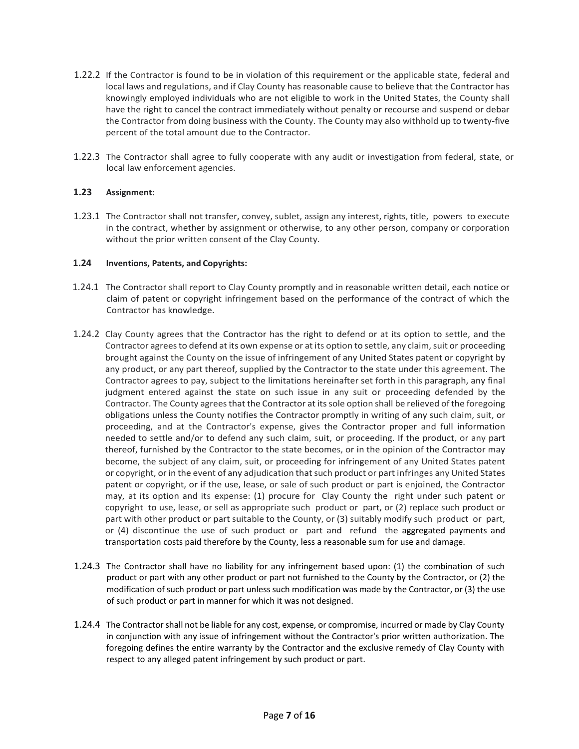- 1.22.2 If the Contractor is found to be in violation of this requirement or the applicable state, federal and local laws and regulations, and if Clay County has reasonable cause to believe that the Contractor has knowingly employed individuals who are not eligible to work in the United States, the County shall have the right to cancel the contract immediately without penalty or recourse and suspend or debar the Contractor from doing business with the County. The County may also withhold up to twenty-five percent of the total amount due to the Contractor.
- 1.22.3 The Contractor shall agree to fully cooperate with any audit or investigation from federal, state, or local law enforcement agencies.

## **1.23 Assignment:**

1.23.1 The Contractor shall not transfer, convey, sublet, assign any interest, rights, title, powers to execute in the contract, whether by assignment or otherwise, to any other person, company or corporation without the prior written consent of the Clay County.

#### **1.24 Inventions, Patents, and Copyrights:**

- 1.24.1 The Contractor shall report to Clay County promptly and in reasonable written detail, each notice or claim of patent or copyright infringement based on the performance of the contract of which the Contractor has knowledge.
- 1.24.2 Clay County agrees that the Contractor has the right to defend or at its option to settle, and the Contractor agrees to defend at its own expense or at its option to settle, any claim, suit or proceeding brought against the County on the issue of infringement of any United States patent or copyright by any product, or any part thereof, supplied by the Contractor to the state under this agreement. The Contractor agrees to pay, subject to the limitations hereinafter set forth in this paragraph, any final judgment entered against the state on such issue in any suit or proceeding defended by the Contractor. The County agrees that the Contractor at its sole option shall be relieved of the foregoing obligations unless the County notifies the Contractor promptly in writing of any such claim, suit, or proceeding, and at the Contractor's expense, gives the Contractor proper and full information needed to settle and/or to defend any such claim, suit, or proceeding. If the product, or any part thereof, furnished by the Contractor to the state becomes, or in the opinion of the Contractor may become, the subject of any claim, suit, or proceeding for infringement of any United States patent or copyright, or in the event of any adjudication that such product or part infringes any United States patent or copyright, or if the use, lease, or sale of such product or part is enjoined, the Contractor may, at its option and its expense: (1) procure for Clay County the right under such patent or copyright to use, lease, or sell as appropriate such product or part, or (2) replace such product or part with other product or part suitable to the County, or (3) suitably modify such product or part, or (4) discontinue the use of such product or part and refund the aggregated payments and transportation costs paid therefore by the County, less a reasonable sum for use and damage.
- 1.24.3 The Contractor shall have no liability for any infringement based upon: (1) the combination of such product or part with any other product or part not furnished to the County by the Contractor, or (2) the modification of such product or part unless such modification was made by the Contractor, or (3) the use of such product or part in manner for which it was not designed.
- 1.24.4 The Contractorshall not be liable for any cost, expense, or compromise, incurred or made by Clay County in conjunction with any issue of infringement without the Contractor's prior written authorization. The foregoing defines the entire warranty by the Contractor and the exclusive remedy of Clay County with respect to any alleged patent infringement by such product or part.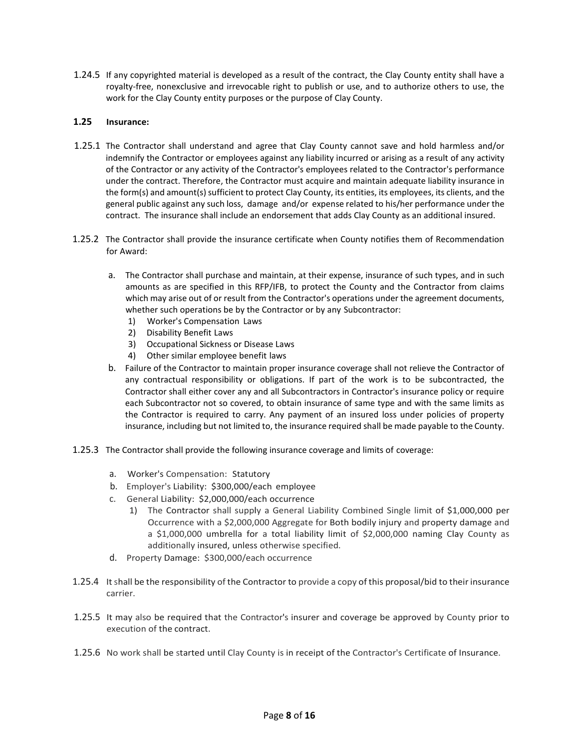1.24.5 If any copyrighted material is developed as a result of the contract, the Clay County entity shall have a royalty-free, nonexclusive and irrevocable right to publish or use, and to authorize others to use, the work for the Clay County entity purposes or the purpose of Clay County.

## **1.25 Insurance:**

- 1.25.1 The Contractor shall understand and agree that Clay County cannot save and hold harmless and/or indemnify the Contractor or employees against any liability incurred or arising as a result of any activity of the Contractor or any activity of the Contractor's employees related to the Contractor's performance under the contract. Therefore, the Contractor must acquire and maintain adequate liability insurance in the form(s) and amount(s) sufficient to protect Clay County, its entities, its employees, its clients, and the general public against any such loss, damage and/or expense related to his/her performance under the contract. The insurance shall include an endorsement that adds Clay County as an additional insured.
- 1.25.2 The Contractor shall provide the insurance certificate when County notifies them of Recommendation for Award:
	- a. The Contractor shall purchase and maintain, at their expense, insurance of such types, and in such amounts as are specified in this RFP/IFB, to protect the County and the Contractor from claims which may arise out of or result from the Contractor's operations under the agreement documents, whether such operations be by the Contractor or by any Subcontractor:
		- 1) Worker's Compensation Laws
		- 2) Disability Benefit Laws
		- 3) Occupational Sickness or Disease Laws
		- 4) Other similar employee benefit laws
	- b. Failure of the Contractor to maintain proper insurance coverage shall not relieve the Contractor of any contractual responsibility or obligations. If part of the work is to be subcontracted, the Contractor shall either cover any and all Subcontractors in Contractor's insurance policy or require each Subcontractor not so covered, to obtain insurance of same type and with the same limits as the Contractor is required to carry. Any payment of an insured loss under policies of property insurance, including but not limited to, the insurance required shall be made payable to the County.
- 1.25.3 The Contractor shall provide the following insurance coverage and limits of coverage:
	- a. Worker's Compensation: Statutory
	- b. Employer's Liability: \$300,000/each employee
	- c. General Liability: \$2,000,000/each occurrence
		- 1) The Contractor shall supply a General Liability Combined Single limit of \$1,000,000 per Occurrence with a \$2,000,000 Aggregate for Both bodily injury and property damage and a \$1,000,000 umbrella for a total liability limit of \$2,000,000 naming Clay County as additionally insured, unless otherwise specified.
	- d. Property Damage: \$300,000/each occurrence
- 1.25.4 It shall be the responsibility of the Contractor to provide a copy of this proposal/bid to their insurance carrier.
- 1.25.5 It may also be required that the Contractor's insurer and coverage be approved by County prior to execution of the contract.
- 1.25.6 No work shall be started until Clay County is in receipt of the Contractor's Certificate of Insurance.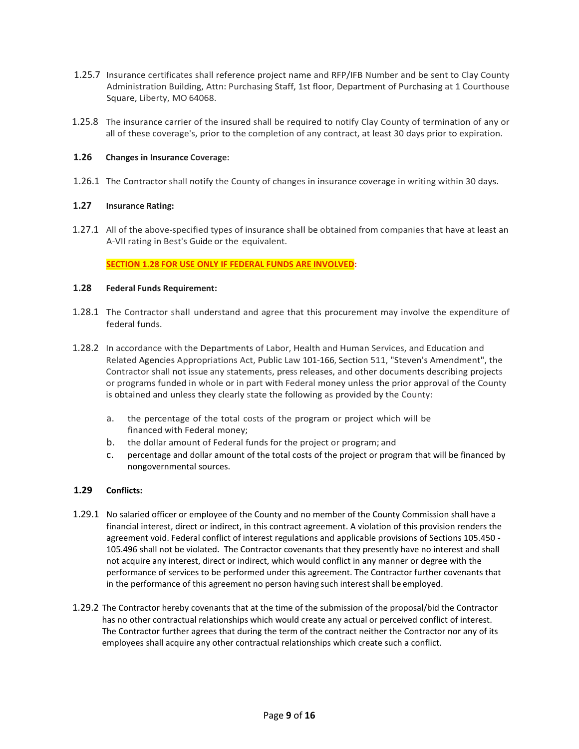- 1.25.7 Insurance certificates shall reference project name and RFP/IFB Number and be sent to Clay County Administration Building, Attn: Purchasing Staff, 1st floor, Department of Purchasing at 1 Courthouse Square, Liberty, MO 64068.
- 1.25.8 The insurance carrier of the insured shall be required to notify Clay County of termination of any or all of these coverage's, prior to the completion of any contract, at least 30 days prior to expiration.

## **1.26 Changes in Insurance Coverage:**

1.26.1 The Contractor shall notify the County of changes in insurance coverage in writing within 30 days.

# **1.27 Insurance Rating:**

1.27.1 All of the above-specified types of insurance shall be obtained from companies that have at least an A-VII rating in Best's Guide or the equivalent.

## **SECTION 1.28 FOR USE ONLY IF FEDERAL FUNDS ARE INVOLVED:**

## **1.28 Federal Funds Requirement:**

- 1.28.1 The Contractor shall understand and agree that this procurement may involve the expenditure of federal funds.
- 1.28.2 In accordance with the Departments of Labor, Health and Human Services, and Education and Related Agencies Appropriations Act, Public Law 101-166, Section 511, "Steven's Amendment", the Contractor shall not issue any statements, press releases, and other documents describing projects or programs funded in whole or in part with Federal money unless the prior approval of the County is obtained and unless they clearly state the following as provided by the County:
	- a. the percentage of the total costs of the program or project which will be financed with Federal money;
	- b. the dollar amount of Federal funds for the project or program; and
	- c. percentage and dollar amount of the total costs of the project or program that will be financed by nongovernmental sources.

## **1.29 Conflicts:**

- 1.29.1 No salaried officer or employee of the County and no member of the County Commission shall have a financial interest, direct or indirect, in this contract agreement. A violation of this provision renders the agreement void. Federal conflict of interest regulations and applicable provisions of Sections 105.450 - 105.496 shall not be violated. The Contractor covenants that they presently have no interest and shall not acquire any interest, direct or indirect, which would conflict in any manner or degree with the performance of services to be performed under this agreement. The Contractor further covenants that in the performance of this agreement no person having such interest shall be employed.
- 1.29.2 The Contractor hereby covenants that at the time of the submission of the proposal/bid the Contractor has no other contractual relationships which would create any actual or perceived conflict of interest. The Contractor further agrees that during the term of the contract neither the Contractor nor any of its employees shall acquire any other contractual relationships which create such a conflict.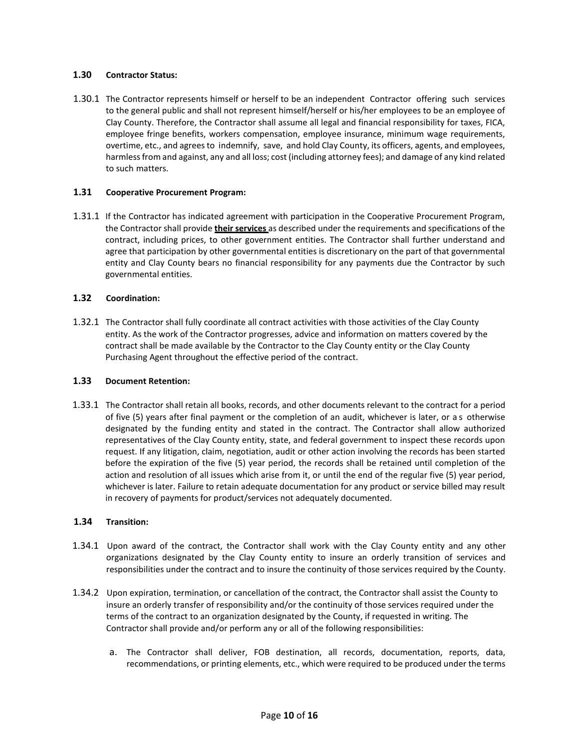#### **1.30 Contractor Status:**

1.30.1 The Contractor represents himself or herself to be an independent Contractor offering such services to the general public and shall not represent himself/herself or his/her employees to be an employee of Clay County. Therefore, the Contractor shall assume all legal and financial responsibility for taxes, FICA, employee fringe benefits, workers compensation, employee insurance, minimum wage requirements, overtime, etc., and agrees to indemnify, save, and hold Clay County, its officers, agents, and employees, harmless from and against, any and all loss; cost (including attorney fees); and damage of any kind related to such matters.

#### **1.31 Cooperative Procurement Program:**

1.31.1 If the Contractor has indicated agreement with participation in the Cooperative Procurement Program, the Contractor shall provide **their services** as described under the requirements and specifications of the contract, including prices, to other government entities. The Contractor shall further understand and agree that participation by other governmental entities is discretionary on the part of that governmental entity and Clay County bears no financial responsibility for any payments due the Contractor by such governmental entities.

#### **1.32 Coordination:**

 1.32.1 The Contractor shall fully coordinate all contract activities with those activities of the Clay County entity. As the work of the Contractor progresses, advice and information on matters covered by the contract shall be made available by the Contractor to the Clay County entity or the Clay County Purchasing Agent throughout the effective period of the contract.

#### **1.33 Document Retention:**

 1.33.1 The Contractor shall retain all books, records, and other documents relevant to the contract for a period of five (5) years after final payment or the completion of an audit, whichever is later, or a s otherwise designated by the funding entity and stated in the contract. The Contractor shall allow authorized representatives of the Clay County entity, state, and federal government to inspect these records upon request. If any litigation, claim, negotiation, audit or other action involving the records has been started before the expiration of the five (5) year period, the records shall be retained until completion of the action and resolution of all issues which arise from it, or until the end of the regular five (5) year period, whichever is later. Failure to retain adequate documentation for any product or service billed may result in recovery of payments for product/services not adequately documented.

#### **1.34 Transition:**

- 1.34.1 Upon award of the contract, the Contractor shall work with the Clay County entity and any other organizations designated by the Clay County entity to insure an orderly transition of services and responsibilities under the contract and to insure the continuity of those services required by the County.
- 1.34.2 Upon expiration, termination, or cancellation of the contract, the Contractor shall assist the County to insure an orderly transfer of responsibility and/or the continuity of those services required under the terms of the contract to an organization designated by the County, if requested in writing. The Contractor shall provide and/or perform any or all of the following responsibilities:
	- a. The Contractor shall deliver, FOB destination, all records, documentation, reports, data, recommendations, or printing elements, etc., which were required to be produced under the terms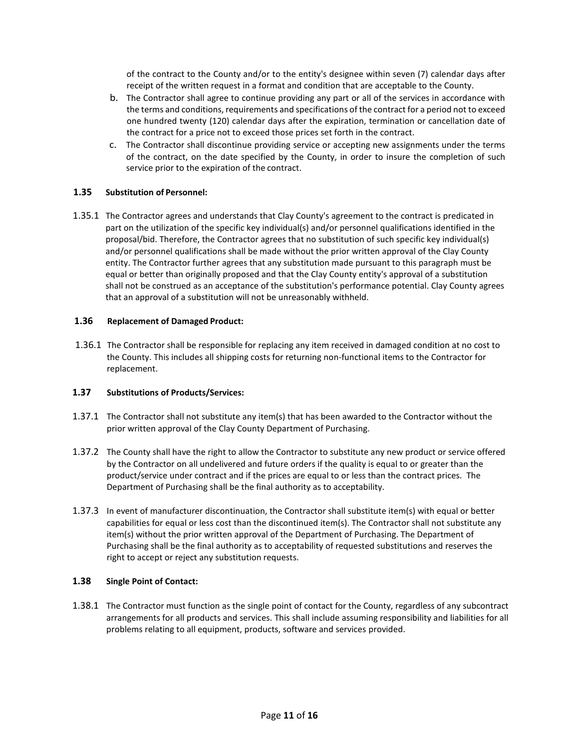of the contract to the County and/or to the entity's designee within seven (7) calendar days after receipt of the written request in a format and condition that are acceptable to the County.

- b. The Contractor shall agree to continue providing any part or all of the services in accordance with the terms and conditions, requirements and specifications of the contract for a period not to exceed one hundred twenty (120) calendar days after the expiration, termination or cancellation date of the contract for a price not to exceed those prices set forth in the contract.
- c. The Contractor shall discontinue providing service or accepting new assignments under the terms of the contract, on the date specified by the County, in order to insure the completion of such service prior to the expiration of the contract.

## **1.35 Substitution of Personnel:**

 1.35.1 The Contractor agrees and understands that Clay County's agreement to the contract is predicated in part on the utilization of the specific key individual(s) and/or personnel qualifications identified in the proposal/bid. Therefore, the Contractor agrees that no substitution of such specific key individual(s) and/or personnel qualifications shall be made without the prior written approval of the Clay County entity. The Contractor further agrees that any substitution made pursuant to this paragraph must be equal or better than originally proposed and that the Clay County entity's approval of a substitution shall not be construed as an acceptance of the substitution's performance potential. Clay County agrees that an approval of a substitution will not be unreasonably withheld.

#### **1.36 Replacement of Damaged Product:**

 1.36.1 The Contractor shall be responsible for replacing any item received in damaged condition at no cost to the County. This includes all shipping costs for returning non-functional items to the Contractor for replacement.

#### **1.37 Substitutions of Products/Services:**

- 1.37.1 The Contractor shall not substitute any item(s) that has been awarded to the Contractor without the prior written approval of the Clay County Department of Purchasing.
- 1.37.2 The County shall have the right to allow the Contractor to substitute any new product or service offered by the Contractor on all undelivered and future orders if the quality is equal to or greater than the product/service under contract and if the prices are equal to or less than the contract prices. The Department of Purchasing shall be the final authority as to acceptability.
- 1.37.3 In event of manufacturer discontinuation, the Contractor shall substitute item(s) with equal or better capabilities for equal or less cost than the discontinued item(s). The Contractor shall not substitute any item(s) without the prior written approval of the Department of Purchasing. The Department of Purchasing shall be the final authority as to acceptability of requested substitutions and reserves the right to accept or reject any substitution requests.

#### **1.38 Single Point of Contact:**

1.38.1 The Contractor must function as the single point of contact for the County, regardless of any subcontract arrangements for all products and services. This shall include assuming responsibility and liabilities for all problems relating to all equipment, products, software and services provided.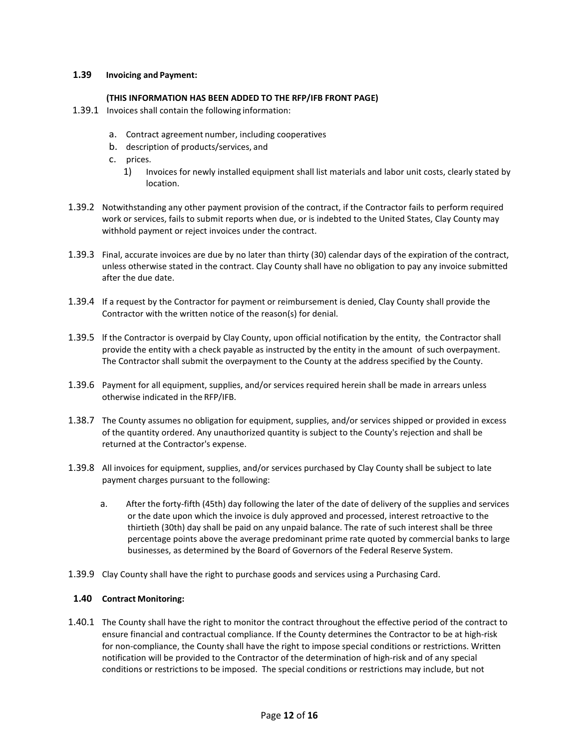## **1.39 Invoicing and Payment:**

#### **(THIS INFORMATION HAS BEEN ADDED TO THE RFP/IFB FRONT PAGE)**

- 1.39.1 Invoices shall contain the following information:
	- a. Contract agreement number, including cooperatives
	- b. description of products/services, and
	- c. prices.
		- 1) Invoices for newly installed equipment shall list materials and labor unit costs, clearly stated by location.
- 1.39.2 Notwithstanding any other payment provision of the contract, if the Contractor fails to perform required work or services, fails to submit reports when due, or is indebted to the United States, Clay County may withhold payment or reject invoices under the contract.
- 1.39.3 Final, accurate invoices are due by no later than thirty (30) calendar days of the expiration of the contract, unless otherwise stated in the contract. Clay County shall have no obligation to pay any invoice submitted after the due date.
- 1.39.4 If a request by the Contractor for payment or reimbursement is denied, Clay County shall provide the Contractor with the written notice of the reason(s) for denial.
- 1.39.5 lf the Contractor is overpaid by Clay County, upon official notification by the entity, the Contractor shall provide the entity with a check payable as instructed by the entity in the amount of such overpayment. The Contractor shall submit the overpayment to the County at the address specified by the County.
- 1.39.6 Payment for all equipment, supplies, and/or services required herein shall be made in arrears unless otherwise indicated in the RFP/IFB.
- 1.38.7 The County assumes no obligation for equipment, supplies, and/or services shipped or provided in excess of the quantity ordered. Any unauthorized quantity is subject to the County's rejection and shall be returned at the Contractor's expense.
- 1.39.8 All invoices for equipment, supplies, and/or services purchased by Clay County shall be subject to late payment charges pursuant to the following:
	- a. After the forty-fifth (45th) day following the later of the date of delivery of the supplies and services or the date upon which the invoice is duly approved and processed, interest retroactive to the thirtieth (30th) day shall be paid on any unpaid balance. The rate of such interest shall be three percentage points above the average predominant prime rate quoted by commercial banks to large businesses, as determined by the Board of Governors of the Federal Reserve System.
- 1.39.9 Clay County shall have the right to purchase goods and services using a Purchasing Card.

## **1.40 Contract Monitoring:**

1.40.1 The County shall have the right to monitor the contract throughout the effective period of the contract to ensure financial and contractual compliance. If the County determines the Contractor to be at high-risk for non-compliance, the County shall have the right to impose special conditions or restrictions. Written notification will be provided to the Contractor of the determination of high-risk and of any special conditions or restrictions to be imposed. The special conditions or restrictions may include, but not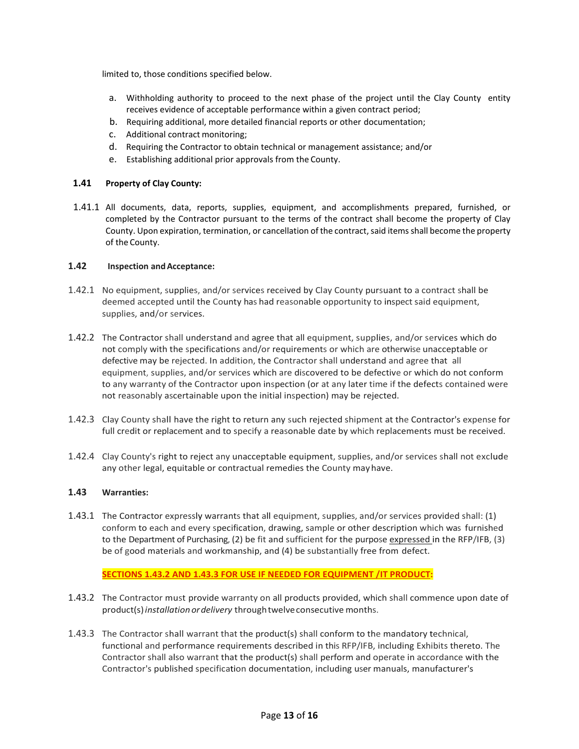limited to, those conditions specified below.

- a. Withholding authority to proceed to the next phase of the project until the Clay County entity receives evidence of acceptable performance within a given contract period;
- b. Requiring additional, more detailed financial reports or other documentation;
- c. Additional contract monitoring;
- d. Requiring the Contractor to obtain technical or management assistance; and/or
- e. Establishing additional prior approvals from the County.

## **1.41 Property of Clay County:**

1.41.1 All documents, data, reports, supplies, equipment, and accomplishments prepared, furnished, or completed by the Contractor pursuant to the terms of the contract shall become the property of Clay County. Upon expiration, termination, or cancellation of the contract, said items shall become the property of the County.

# **1.42 Inspection andAcceptance:**

- 1.42.1 No equipment, supplies, and/or services received by Clay County pursuant to a contract shall be deemed accepted until the County has had reasonable opportunity to inspect said equipment, supplies, and/or services.
- 1.42.2 The Contractor shall understand and agree that all equipment, supplies, and/or services which do not comply with the specifications and/or requirements or which are otherwise unacceptable or defective may be rejected. In addition, the Contractor shall understand and agree that all equipment, supplies, and/or services which are discovered to be defective or which do not conform to any warranty of the Contractor upon inspection (or at any later time if the defects contained were not reasonably ascertainable upon the initial inspection) may be rejected.
- 1.42.3 Clay County shall have the right to return any such rejected shipment at the Contractor's expense for full credit or replacement and to specify a reasonable date by which replacements must be received.
- 1.42.4 Clay County's right to reject any unacceptable equipment, supplies, and/or services shall not exclude any other legal, equitable or contractual remedies the County mayhave.

## **1.43 Warranties:**

1.43.1 The Contractor expressly warrants that all equipment, supplies, and/or services provided shall: (1) conform to each and every specification, drawing, sample or other description which was furnished to the Department of Purchasing, (2) be fit and sufficient for the purpose expressed in the RFP/IFB, (3) be of good materials and workmanship, and (4) be substantially free from defect.

## **SECTIONS 1.43.2 AND 1.43.3 FOR USE IF NEEDED FOR EQUIPMENT /IT PRODUCT:**

- 1.43.2 The Contractor must provide warranty on all products provided, which shall commence upon date of product(s)*installation ordelivery* throughtwelveconsecutive months.
- 1.43.3 The Contractor shall warrant that the product(s) shall conform to the mandatory technical, functional and performance requirements described in this RFP/IFB, including Exhibits thereto. The Contractor shall also warrant that the product(s) shall perform and operate in accordance with the Contractor's published specification documentation, including user manuals, manufacturer's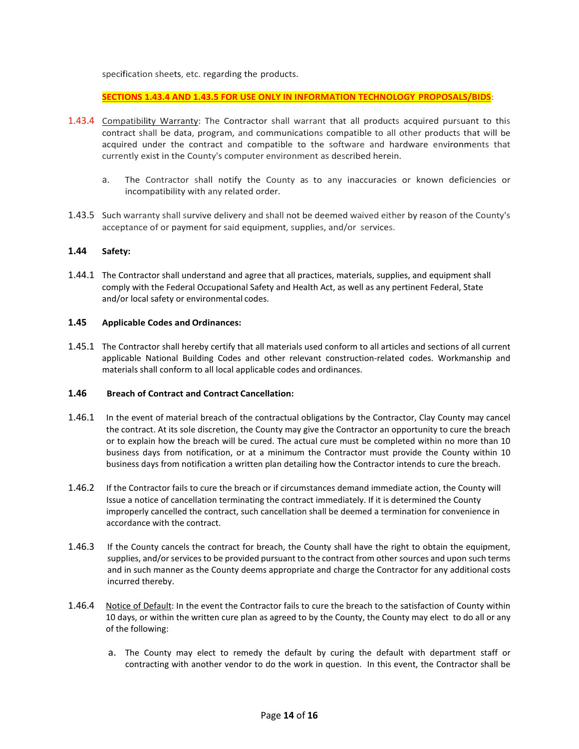specification sheets, etc. regarding the products.

**SECTIONS 1.43.4 AND 1.43.5 FOR USE ONLY IN INFORMATION TECHNOLOGY PROPOSALS/BIDS**:

- 1.43.4 Compatibility Warranty: The Contractor shall warrant that all products acquired pursuant to this contract shall be data, program, and communications compatible to all other products that will be acquired under the contract and compatible to the software and hardware environments that currently exist in the County's computer environment as described herein.
	- a. The Contractor shall notify the County as to any inaccuracies or known deficiencies or incompatibility with any related order.
- 1.43.5 Such warranty shall survive delivery and shall not be deemed waived either by reason of the County's acceptance of or payment for said equipment, supplies, and/or services.

#### **1.44 Safety:**

1.44.1 The Contractor shall understand and agree that all practices, materials, supplies, and equipment shall comply with the Federal Occupational Safety and Health Act, as well as any pertinent Federal, State and/or local safety or environmental codes.

### **1.45 Applicable Codes and Ordinances:**

1.45.1 The Contractor shall hereby certify that all materials used conform to all articles and sections of all current applicable National Building Codes and other relevant construction-related codes. Workmanship and materials shall conform to all local applicable codes and ordinances.

#### **1.46 Breach of Contract and Contract Cancellation:**

- 1.46.1 In the event of material breach of the contractual obligations by the Contractor, Clay County may cancel the contract. At its sole discretion, the County may give the Contractor an opportunity to cure the breach or to explain how the breach will be cured. The actual cure must be completed within no more than 10 business days from notification, or at a minimum the Contractor must provide the County within 10 business days from notification a written plan detailing how the Contractor intends to cure the breach.
- 1.46.2 If the Contractor fails to cure the breach or if circumstances demand immediate action, the County will Issue a notice of cancellation terminating the contract immediately. If it is determined the County improperly cancelled the contract, such cancellation shall be deemed a termination for convenience in accordance with the contract.
- 1.46.3 If the County cancels the contract for breach, the County shall have the right to obtain the equipment, supplies, and/or services to be provided pursuant to the contract from other sources and upon such terms and in such manner as the County deems appropriate and charge the Contractor for any additional costs incurred thereby.
- 1.46.4 Notice of Default: In the event the Contractor fails to cure the breach to the satisfaction of County within 10 days, or within the written cure plan as agreed to by the County, the County may elect to do all or any of the following:
	- a. The County may elect to remedy the default by curing the default with department staff or contracting with another vendor to do the work in question. In this event, the Contractor shall be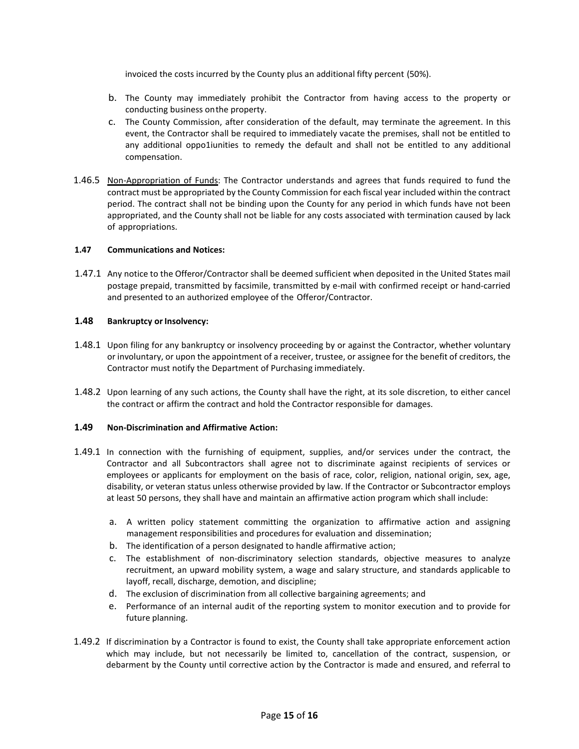invoiced the costs incurred by the County plus an additional fifty percent (50%).

- b. The County may immediately prohibit the Contractor from having access to the property or conducting business on the property.
- c. The County Commission, after consideration of the default, may terminate the agreement. In this event, the Contractor shall be required to immediately vacate the premises, shall not be entitled to any additional oppo1iunities to remedy the default and shall not be entitled to any additional compensation.
- 1.46.5 Non-Appropriation of Funds: The Contractor understands and agrees that funds required to fund the contract must be appropriated by the County Commission for each fiscal year included within the contract period. The contract shall not be binding upon the County for any period in which funds have not been appropriated, and the County shall not be liable for any costs associated with termination caused by lack of appropriations.

#### **1.47 Communications and Notices:**

1.47.1 Any notice to the Offeror/Contractor shall be deemed sufficient when deposited in the United States mail postage prepaid, transmitted by facsimile, transmitted by e-mail with confirmed receipt or hand-carried and presented to an authorized employee of the Offeror/Contractor.

#### **1.48** Bankruptcy or Insolvency:

- 1.48.1 Upon filing for any bankruptcy or insolvency proceeding by or against the Contractor, whether voluntary or involuntary, or upon the appointment of a receiver, trustee, or assignee for the benefit of creditors, the Contractor must notify the Department of Purchasing immediately.
- 1.48.2 Upon learning of any such actions, the County shall have the right, at its sole discretion, to either cancel the contract or affirm the contract and hold the Contractor responsible for damages.

## **1.49 Non-Discrimination and Affirmative Action:**

- 1.49.1 In connection with the furnishing of equipment, supplies, and/or services under the contract, the Contractor and all Subcontractors shall agree not to discriminate against recipients of services or employees or applicants for employment on the basis of race, color, religion, national origin, sex, age, disability, or veteran status unless otherwise provided by law. If the Contractor or Subcontractor employs at least 50 persons, they shall have and maintain an affirmative action program which shall include:
	- a. A written policy statement committing the organization to affirmative action and assigning management responsibilities and procedures for evaluation and dissemination;
	- b. The identification of a person designated to handle affirmative action;
	- c. The establishment of non-discriminatory selection standards, objective measures to analyze recruitment, an upward mobility system, a wage and salary structure, and standards applicable to layoff, recall, discharge, demotion, and discipline;
	- d. The exclusion of discrimination from all collective bargaining agreements; and
	- e. Performance of an internal audit of the reporting system to monitor execution and to provide for future planning.
- 1.49.2 If discrimination by a Contractor is found to exist, the County shall take appropriate enforcement action which may include, but not necessarily be limited to, cancellation of the contract, suspension, or debarment by the County until corrective action by the Contractor is made and ensured, and referral to